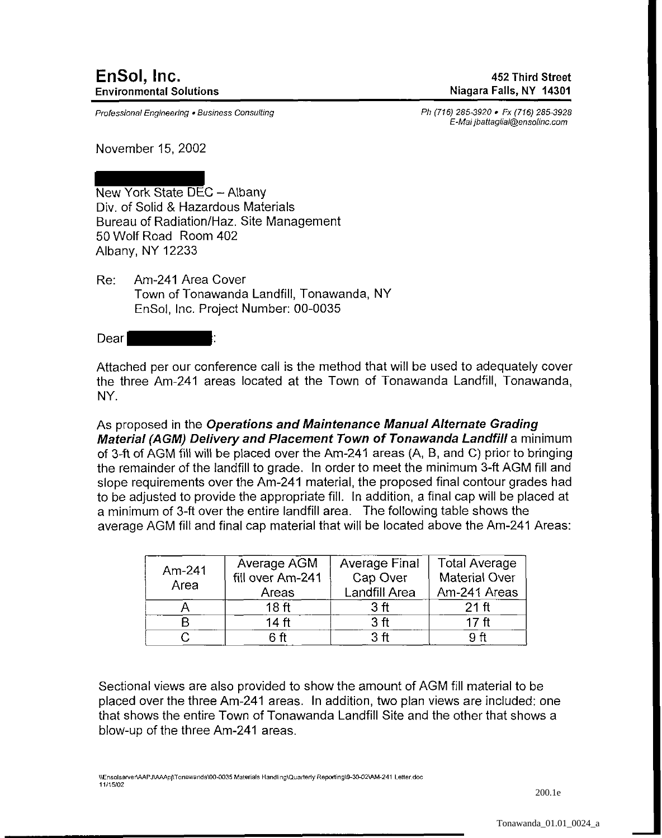Professional Engineering • Business Consulting

Ph (716) 285-3920 • Fx (716) 285-3928 E-Mai jbattaglial@ensolinc.com

November 15, 2002

New York State DEC- Albany Div. of Solid & Hazardous Materials Bureau of Radiation/Haz. Site Management 50 Wolf Road Room 402 Albany, NY 12233

Re: Am-241 Area Cover Town of Tonawanda Landfill, Tonawanda, NY EnSol, Inc. Project Number: 00-0035

Dear

Attached per our conference call is the method that will be used to adequately cover the three Am-241 areas located at the Town of Tonawanda Landfill, Tonawanda, NY.

As proposed in the Operations and Maintenance Manual Alternate Grading Material (AGM) Delivery and Placement Town of Tonawanda Landfill a minimum of 3-ft of AGM fiH wiH be placed over the Am-241 areas (A, B, and C) prior to bringing the remainder of the landfill to grade. In order to meet the minimum 3-ft AGM fill and slope requirements over the Am-241 material, the proposed final contour grades had to be adjusted to provide the appropriate fill. In addition, a final cap will be placed at a minimum of 3-ft over the entire landfill area. The following table shows the average AGM fill and final cap material that will be located above the Am-241 Areas:

| Am-241 | Average AGM<br>fill over Am-241 | <b>Average Final</b><br>Cap Over | <b>Total Average</b><br><b>Material Over</b> |  |
|--------|---------------------------------|----------------------------------|----------------------------------------------|--|
| Area   | Areas                           | Landfill Area                    | Am-241 Areas                                 |  |
|        | 18 <sub>ft</sub>                | 3 ft                             | $21$ ft                                      |  |
|        | 14 <sub>ft</sub>                | 3 ft                             | 17 <sub>ft</sub>                             |  |
|        | հ <del>f</del> t                | 3 ft                             | 9 ft                                         |  |

Sectional views are also provided to show the amount of AGM fill material to be placed over the three Am-241 areas. In addition, two plan views are included: one that shows the entire Town of Tonawanda Landfill Site and the other that shows a blow-up of the three Am-241 areas.

1\Ensolserver'IAAP J\AAApJ\ T onawanda\00-0035 Materials Handl1 ng\Quarterly Reporting\9-30-02\AM-241 Letter.doc 11115102

200.1e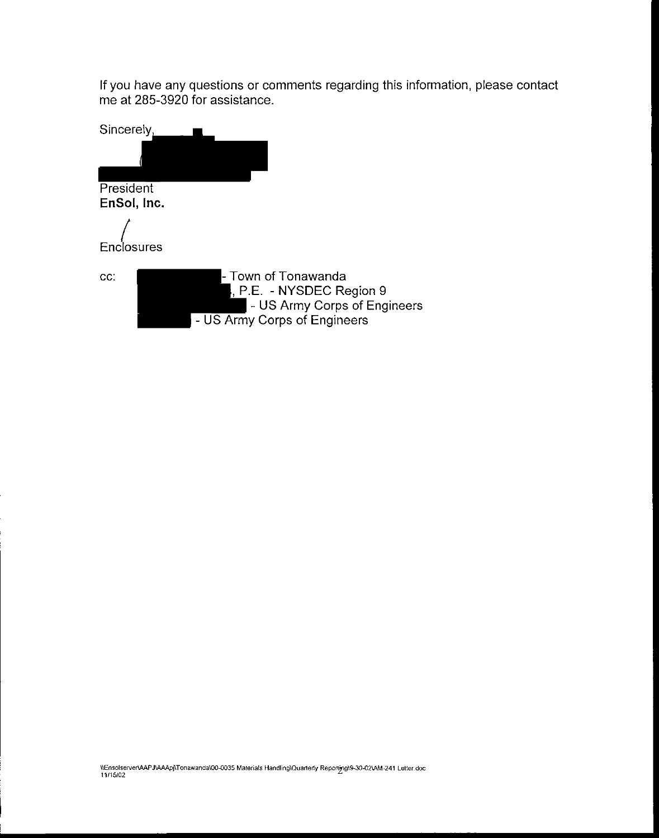If you have any questions or comments regarding this information, please contact me at 285-3920 for assistance.

| Sincerely,<br>President<br>EnSol, Inc. |                                                                                                                  |
|----------------------------------------|------------------------------------------------------------------------------------------------------------------|
| Enclosures                             |                                                                                                                  |
| CC.                                    | l- Town of Tonawanda<br>, P.E. - NYSDEC Region 9<br>- US Army Corps of Engineers<br>- US Army Corps of Engineers |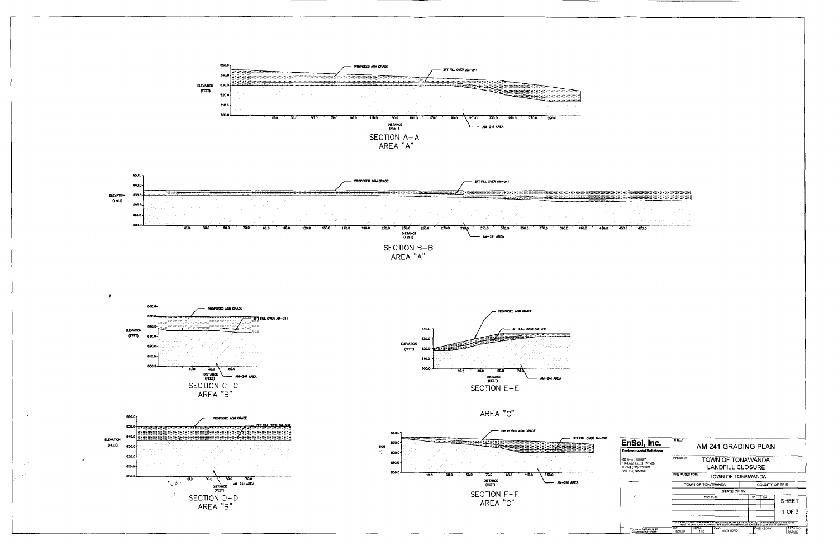

| EnSol, Inc.                                                                               | TITLE:<br><b>AM-241 GRADING PLAN</b>                                                                                                                                                                                            |               |                   |                |              |                    |  |  |
|-------------------------------------------------------------------------------------------|---------------------------------------------------------------------------------------------------------------------------------------------------------------------------------------------------------------------------------|---------------|-------------------|----------------|--------------|--------------------|--|--|
| <b>Environmental Solutions</b>                                                            |                                                                                                                                                                                                                                 |               |                   |                |              |                    |  |  |
| 452 THIRD STREET<br>NIAGARA FALLS, NY 14301<br>PHONE (716) 285-3920<br>FAX (716) 285-3928 | PROJECT:<br>TOWN OF TONAWANDA<br>LANDFILL CLOSURE                                                                                                                                                                               |               |                   |                |              |                    |  |  |
|                                                                                           | PREPARED FOR:<br>TOWN OF TONAWANDA                                                                                                                                                                                              |               |                   |                |              |                    |  |  |
|                                                                                           | TOWN OF TONAWANDA                                                                                                                                                                                                               |               |                   | COUNTY OF ERIE |              |                    |  |  |
|                                                                                           | STATE OF NY                                                                                                                                                                                                                     |               |                   |                |              |                    |  |  |
| A.                                                                                        | <b>REVISION</b>                                                                                                                                                                                                                 |               | BY                | DATE           | <b>SHEET</b> |                    |  |  |
|                                                                                           |                                                                                                                                                                                                                                 |               |                   |                |              | 1 OF 3             |  |  |
|                                                                                           | IT IS A VIOLATION OF THE M, W YORK STATE EDUCATION LAW, ARTICLE 145 SECTION FOOT FOR ANY FERENCIE IN ESS OF IS ACTING<br>UNDER THE DIRECTION OF A LICT KEED PROFIESSIONAL FROMERS OR LAND SURVEYOR TO ALTER AN ITEM IN ARY WAY. |               |                   |                |              |                    |  |  |
| JOHN B. BATTAGLIA PE                                                                      | DATE<br>10/21/00                                                                                                                                                                                                                | SCALE<br>4.60 | DWG.<br>AM241 DWG |                | CHECKED BY   | PROJ NO<br>AA BAAF |  |  |

470.0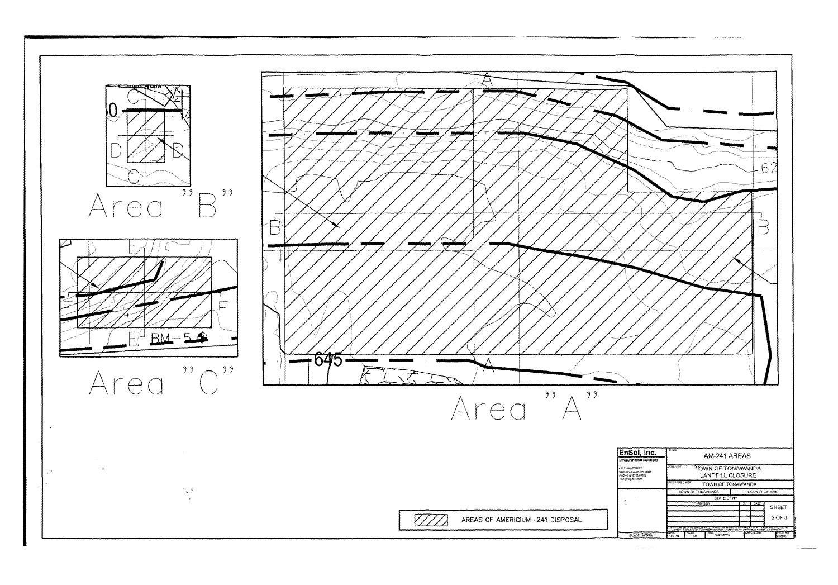

 $\begin{array}{ccc} \multicolumn{3}{c}{} & \multicolumn{3}{c}{} & \multicolumn{3}{c}{} & \multicolumn{3}{c}{} & \multicolumn{3}{c}{} & \multicolumn{3}{c}{} & \multicolumn{3}{c}{} & \multicolumn{3}{c}{} & \multicolumn{3}{c}{} & \multicolumn{3}{c}{} & \multicolumn{3}{c}{} & \multicolumn{3}{c}{} & \multicolumn{3}{c}{} & \multicolumn{3}{c}{} & \multicolumn{3}{c}{} & \multicolumn{3}{c}{} & \multicolumn{3}{c}{} & \multicolumn{3}{c}{} & \multicolumn{3}{c}{} & \multicolumn$